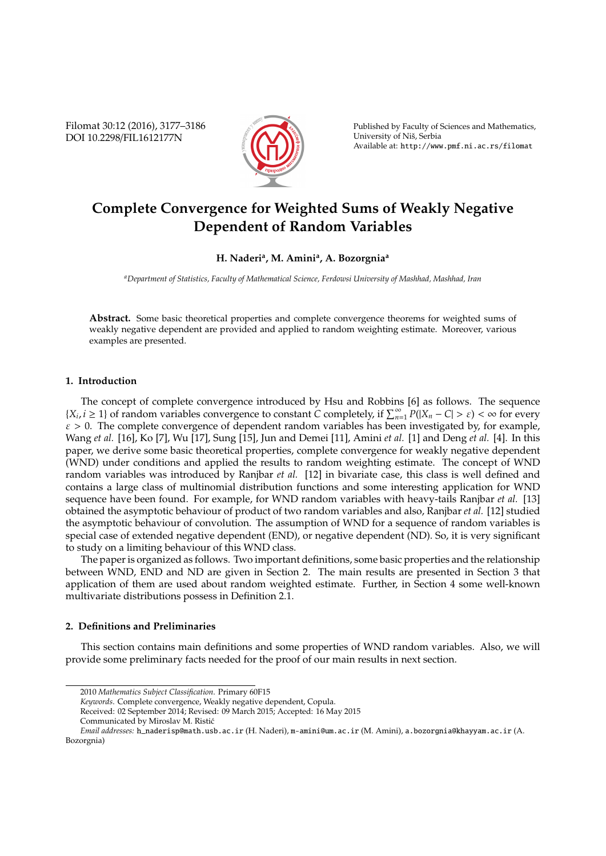Filomat 30:12 (2016), 3177–3186 DOI 10.2298/FIL1612177N



Published by Faculty of Sciences and Mathematics, University of Niš, Serbia Available at: http://www.pmf.ni.ac.rs/filomat

# **Complete Convergence for Weighted Sums of Weakly Negative Dependent of Random Variables**

# **H. Naderi<sup>a</sup> , M. Amini<sup>a</sup> , A. Bozorgnia<sup>a</sup>**

*<sup>a</sup>Department of Statistics, Faculty of Mathematical Science, Ferdowsi University of Mashhad, Mashhad, Iran*

**Abstract.** Some basic theoretical properties and complete convergence theorems for weighted sums of weakly negative dependent are provided and applied to random weighting estimate. Moreover, various examples are presented.

## **1. Introduction**

The concept of complete convergence introduced by Hsu and Robbins [6] as follows. The sequence {*X*<sub>*i*</sub>, *i* ≥ 1} of random variables convergence to constant *C* completely, if  $\sum_{n=1}^{\infty} P(|X_n - C| > \varepsilon) < \infty$  for every  $\varepsilon > 0$ . The complete convergence of dependent random variables has been investigated by, for example, Wang *et al.* [16], Ko [7], Wu [17], Sung [15], Jun and Demei [11], Amini *et al.* [1] and Deng *et al.* [4]. In this paper, we derive some basic theoretical properties, complete convergence for weakly negative dependent (WND) under conditions and applied the results to random weighting estimate. The concept of WND random variables was introduced by Ranjbar *et al.* [12] in bivariate case, this class is well defined and contains a large class of multinomial distribution functions and some interesting application for WND sequence have been found. For example, for WND random variables with heavy-tails Ranjbar *et al.* [13] obtained the asymptotic behaviour of product of two random variables and also, Ranjbar *et al.* [12] studied the asymptotic behaviour of convolution. The assumption of WND for a sequence of random variables is special case of extended negative dependent (END), or negative dependent (ND). So, it is very significant to study on a limiting behaviour of this WND class.

The paper is organized as follows. Two important definitions, some basic properties and the relationship between WND, END and ND are given in Section 2. The main results are presented in Section 3 that application of them are used about random weighted estimate. Further, in Section 4 some well-known multivariate distributions possess in Definition 2.1.

## **2. Definitions and Preliminaries**

This section contains main definitions and some properties of WND random variables. Also, we will provide some preliminary facts needed for the proof of our main results in next section.

<sup>2010</sup> *Mathematics Subject Classification*. Primary 60F15

*Keywords*. Complete convergence, Weakly negative dependent, Copula.

Received: 02 September 2014; Revised: 09 March 2015; Accepted: 16 May 2015 Communicated by Miroslav M. Ristic´

*Email addresses:* h\_naderisp@math.usb.ac.ir (H. Naderi), m-amini@um.ac.ir (M. Amini), a.bozorgnia@khayyam.ac.ir (A. Bozorgnia)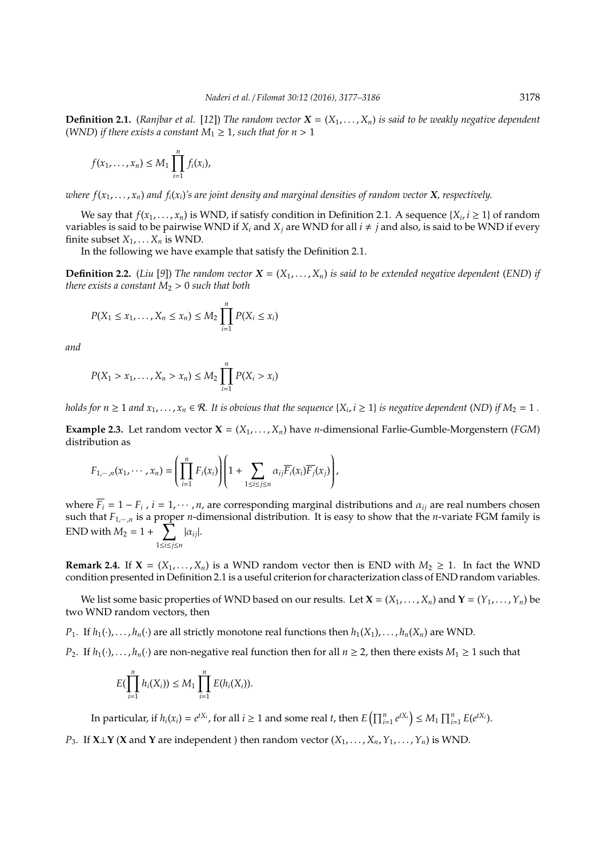**Definition 2.1.** (*Ranjbar et al.* [12]) *The random vector*  $X = (X_1, \ldots, X_n)$  *is said to be weakly negative dependent* (*WND*) *if there exists a constant*  $M_1 \geq 1$ *, such that for*  $n > 1$ 

$$
f(x_1,\ldots,x_n)\leq M_1\prod_{i=1}^n f_i(x_i),
$$

*where*  $f(x_1, \ldots, x_n)$  and  $f_i(x_i)$ 's are joint density and marginal densities of random vector **X***, respectively.* 

We say that  $f(x_1, \ldots, x_n)$  is WND, if satisfy condition in Definition 2.1. A sequence  $\{X_i, i \geq 1\}$  of random variables is said to be pairwise WND if  $X_i$  and  $X_j$  are WND for all  $i \neq j$  and also, is said to be WND if every finite subset  $X_1, \ldots, X_n$  is WND.

In the following we have example that satisfy the Definition 2.1.

**Definition 2.2.** (*Liu* [9]) *The random vector*  $X = (X_1, \ldots, X_n)$  *is said to be extended negative dependent* (*END*) *if there exists a constant*  $M_2 > 0$  *such that both* 

$$
P(X_1 \leq x_1, \ldots, X_n \leq x_n) \leq M_2 \prod_{i=1}^n P(X_i \leq x_i)
$$

*and*

$$
P(X_1 > x_1, ..., X_n > x_n) \le M_2 \prod_{i=1}^n P(X_i > x_i)
$$

*holds for n*  $\geq 1$  *and*  $x_1, \ldots, x_n \in \mathcal{R}$ . It is obvious that the sequence  $\{X_i, i \geq 1\}$  is negative dependent (ND) if  $M_2 = 1$ .

**Example 2.3.** Let random vector  $X = (X_1, \ldots, X_n)$  have *n*-dimensional Farlie-Gumble-Morgenstern (*FGM*) distribution as

$$
F_{1,\cdots,n}(x_1,\cdots,x_n)=\left(\prod_{i=1}^n F_i(x_i)\right)\left(1+\sum_{1\leq i\leq j\leq n}\alpha_{ij}\overline{F_i}(x_i)\overline{F_j}(x_j)\right),
$$

where  $\overline{F}_i = 1 - F_i$ ,  $i = 1, \cdots, n$ , are corresponding marginal distributions and  $\alpha_{ij}$  are real numbers chosen such that *F*1,··· ,*<sup>n</sup>* is a proper *n*-dimensional distribution. It is easy to show that the *n*-variate FGM family is END with  $M_2 = 1 + \sum_{k=1}^{N} M_k$ 1≤*i*≤*j*≤*n* |α*ij*|.

**Remark 2.4.** If  $X = (X_1, \ldots, X_n)$  is a WND random vector then is END with  $M_2 \geq 1$ . In fact the WND condition presented in Definition 2.1 is a useful criterion for characterization class of END random variables.

We list some basic properties of WND based on our results. Let  $X = (X_1, \ldots, X_n)$  and  $Y = (Y_1, \ldots, Y_n)$  be two WND random vectors, then

*P*<sub>1</sub>. If  $h_1(\cdot), \ldots, h_n(\cdot)$  are all strictly monotone real functions then  $h_1(X_1), \ldots, h_n(X_n)$  are WND.

*P*<sub>2</sub>. If  $h_1(\cdot), \ldots, h_n(\cdot)$  are non-negative real function then for all  $n \geq 2$ , then there exists  $M_1 \geq 1$  such that

$$
E(\prod_{i=1}^n h_i(X_i)) \leq M_1 \prod_{i=1}^n E(h_i(X_i)).
$$

In particular, if  $h_i(x_i)=e^{tX_i}$ , for all  $i\geq 1$  and some real  $t$ , then  $E\left(\prod_{i=1}^n e^{tX_i}\right)\leq M_1\prod_{i=1}^n E(e^{tX_i}).$ 

*P*<sub>3</sub>. If **X**⊥**Y** (**X** and **Y** are independent ) then random vector ( $X_1, \ldots, X_n, Y_1, \ldots, Y_n$ ) is WND.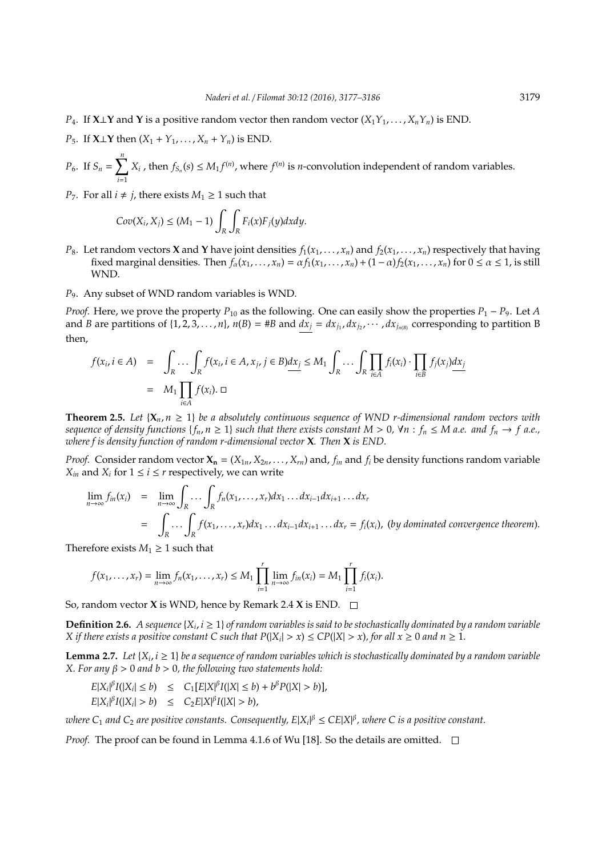- *P*<sub>4</sub>. If **X**⊥**Y** and **Y** is a positive random vector then random vector (*X*<sub>1</sub>*Y*<sub>1</sub>, . . . , *X<sub>n</sub>Y*<sub>*n*</sub>) is END.
- *P*<sub>5</sub>. If **X**⊥**Y** then  $(X_1 + Y_1, ..., X_n + Y_n)$  is END.
- *P*<sub>6</sub>. If  $S_n = \sum_{n=1}^{n}$ *i*=1  $X_i$ , then  $f_{S_n}(s) \leq M_1 f^{(n)}$ , where  $f^{(n)}$  is *n*-convolution independent of random variables.
- *P*<sub>7</sub>. For all *i*  $\neq$  *j*, there exists *M*<sub>1</sub>  $\geq$  1 such that

$$
Cov(X_i, X_j) \le (M_1 - 1) \int_R \int_R F_i(x) F_j(y) dx dy.
$$

- *P*<sub>8</sub>. Let random vectors **X** and **Y** have joint densities  $f_1(x_1, \ldots, x_n)$  and  $f_2(x_1, \ldots, x_n)$  respectively that having fixed marginal densities. Then  $f_{\alpha}(x_1, \ldots, x_n) = \alpha f_1(x_1, \ldots, x_n) + (1 - \alpha) f_2(x_1, \ldots, x_n)$  for  $0 \le \alpha \le 1$ , is still WND.
- *P*9. Any subset of WND random variables is WND.

*Proof.* Here, we prove the property  $P_{10}$  as the following. One can easily show the properties  $P_1 - P_9$ . Let *A* and *B* are partitions of  $\{1, 2, 3, ..., n\}$ ,  $n(B) = \#B$  and  $dx_j = dx_{j_1}, dx_{j_2}, \cdots, dx_{j_{n(B)}}$  corresponding to partition B then,

$$
f(x_i, i \in A) = \int_R \cdots \int_R f(x_i, i \in A, x_j, j \in B) dx_j \le M_1 \int_R \cdots \int_R \prod_{i \in A} f_i(x_i) \cdot \prod_{i \in B} f_j(x_j) dx_j
$$
  
=  $M_1 \prod_{i \in A} f(x_i) \cdot \square$ 

**Theorem 2.5.** Let  $\{X_n, n \geq 1\}$  be a absolutely continuous sequence of WND r-dimensional random vectors with *sequence of density functions*  $\{f_n, n \geq 1\}$  *such that there exists constant*  $M > 0$ ,  $\forall n : f_n \leq M$  *a.e.* and  $f_n \to f$  *a.e.*, *where f is density function of random r-dimensional vector* **X***. Then* **X** *is END.*

*Proof.* Consider random vector  $X_n = (X_{1n}, X_{2n}, \ldots, X_{rn})$  and,  $f_n$  and  $f_i$  be density functions random variable *X*<sup>*in*</sup> and *X*<sup>*i*</sup> for  $1 \le i \le r$  respectively, we can write

$$
\lim_{n \to \infty} f_{in}(x_i) = \lim_{n \to \infty} \int_R \cdots \int_R f_n(x_1, \ldots, x_r) dx_1 \ldots dx_{i-1} dx_{i+1} \ldots dx_r
$$
\n
$$
= \int_R \cdots \int_R f(x_1, \ldots, x_r) dx_1 \ldots dx_{i-1} dx_{i+1} \ldots dx_r = f_i(x_i), \text{ (by dominated convergence theorem)}.
$$

Therefore exists  $M_1 \geq 1$  such that

$$
f(x_1,...,x_r) = \lim_{n \to \infty} f_n(x_1,...,x_r) \le M_1 \prod_{i=1}^r \lim_{n \to \infty} f_{in}(x_i) = M_1 \prod_{i=1}^r f_i(x_i).
$$

So, random vector **X** is WND, hence by Remark 2.4 **X** is END.

**Definition 2.6.** A sequence  $\{X_i, i \geq 1\}$  of random variables is said to be stochastically dominated by a random variable *X* if there exists a positive constant C such that  $P(|X_i| > x) \leq CP(|X| > x)$ , for all  $x \geq 0$  and  $n \geq 1$ .

**Lemma 2.7.** Let  $\{X_i, i \geq 1\}$  be a sequence of random variables which is stochastically dominated by a random variable *X. For any* β > 0 *and b* > 0*, the following two statements hold:*

$$
E|X_i|^{\beta}I(|X_i| \le b) \le C_1[E|X|^{\beta}I(|X| \le b) + b^{\beta}P(|X| > b)],
$$
  

$$
E|X_i|^{\beta}I(|X_i| > b) \le C_2E|X|^{\beta}I(|X| > b),
$$

where  $C_1$  and  $C_2$  are positive constants. Consequently,  $E|X_i|^\beta\leq CE|X|^\beta$ , where  $C$  is a positive constant.

*Proof.* The proof can be found in Lemma 4.1.6 of Wu [18]. So the details are omitted.  $\square$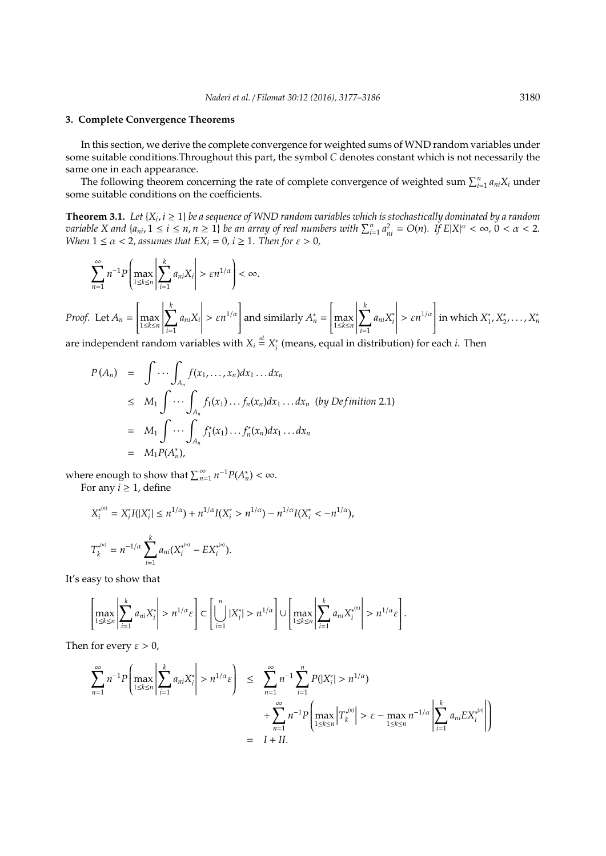# **3. Complete Convergence Theorems**

In this section, we derive the complete convergence for weighted sums of WND random variables under some suitable conditions.Throughout this part, the symbol *C* denotes constant which is not necessarily the same one in each appearance.

The following theorem concerning the rate of complete convergence of weighted sum  $\sum_{i=1}^{n} a_{ni}X_i$  under some suitable conditions on the coefficients.

**Theorem 3.1.** Let  $\{X_i, i \geq 1\}$  be a sequence of WND random variables which is stochastically dominated by a random variable X and  $\{a_{ni}, 1 \le i \le n, n \ge 1\}$  be an array of real numbers with  $\sum_{i=1}^n a_{ni}^2 = O(n)$ . If  $E|X|^\alpha < \infty$ ,  $0 < \alpha < 2$ . *When*  $1 \le \alpha < 2$ , assumes that  $EX_i = 0$ ,  $i \ge 1$ . Then for  $\varepsilon > 0$ ,

$$
\sum_{n=1}^{\infty} n^{-1} P\left(\max_{1\leq k\leq n} \left|\sum_{i=1}^{k} a_{ni} X_i\right| > \varepsilon n^{1/\alpha}\right) < \infty.
$$

*Proof.* Let  $A_n =$ ſ  $\overline{\mathsf{l}}$ max 1≤*k*≤*n*  $\begin{array}{c} \begin{array}{c} \begin{array}{c} \end{array} \\ \begin{array}{c} \end{array} \end{array} \end{array}$ X *k i*=1 *aniX<sup>i</sup>*  $\begin{array}{c} \n \begin{array}{c} \n \downarrow \\ \n \downarrow \\ \n \end{array} \n \end{array}$  $> \varepsilon n^{1/\alpha}$  $\cdot$ and similarly  $A_n^* =$ ſ  $\overline{\mathsf{l}}$ max 1≤*k*≤*n*  $\begin{array}{c} \begin{array}{c} \begin{array}{c} \begin{array}{c} \end{array} \\ \end{array} \end{array} \end{array}$  $\sum_{k=1}^{k}$ *i*=1  $a_{ni}X_i^*$ *i*  $\begin{array}{c} \begin{array}{c} \begin{array}{c} \end{array} \\ \begin{array}{c} \end{array} \end{array} \end{array}$  $> \varepsilon n^{1/\alpha}$  $\overline{\phantom{a}}$ in which *X* ∗ 1 , *X* ∗ 2 , . . . , *X* ∗ *n*

are independent random variables with  $X_i \stackrel{\text{st}}{=} X_i^*$ *i* (means, equal in distribution) for each *i*. Then

$$
P(A_n) = \int \cdots \int_{A_n} f(x_1, \ldots, x_n) dx_1 \ldots dx_n
$$
  
\n
$$
\leq M_1 \int \cdots \int_{A_n} f_1(x_1) \ldots f_n(x_n) dx_1 \ldots dx_n \text{ (by Definition 2.1)}
$$
  
\n
$$
= M_1 \int \cdots \int_{A_n} f_1^*(x_1) \ldots f_n^*(x_n) dx_1 \ldots dx_n
$$
  
\n
$$
= M_1 P(A_n^*),
$$

where enough to show that  $\sum_{n=1}^{\infty} n^{-1} P(A_n^*) < \infty$ .

For any  $i \geq 1$ , define

$$
X_i^{*(n)} = X_i^* I(|X_i^*| \le n^{1/\alpha}) + n^{1/\alpha} I(X_i^* > n^{1/\alpha}) - n^{1/\alpha} I(X_i^* < -n^{1/\alpha}),
$$
  

$$
T_k^{*(n)} = n^{-1/\alpha} \sum_{i=1}^k a_{ni}(X_i^{*(n)} - EX_i^{*(n)}).
$$

It's easy to show that

$$
\left[\max_{1\leq k\leq n}\left|\sum_{i=1}^k a_{ni}X_i^*\right|>n^{1/\alpha}\varepsilon\right]\subset \left[\bigcup_{i=1}^n |X_i^*|>n^{1/\alpha}\right]\cup \left[\max_{1\leq k\leq n}\left|\sum_{i=1}^k a_{ni}X_i^{*^{(n)}}\right|>n^{1/\alpha}\varepsilon\right].
$$

Then for every  $\varepsilon > 0$ ,

$$
\sum_{n=1}^{\infty} n^{-1} P\left(\max_{1 \le k \le n} \left| \sum_{i=1}^{k} a_{ni} X_i^* \right| > n^{1/\alpha} \varepsilon \right) \le \sum_{n=1}^{\infty} n^{-1} \sum_{i=1}^{n} P(|X_i^*| > n^{1/\alpha}) + \sum_{n=1}^{\infty} n^{-1} P\left(\max_{1 \le k \le n} |T_k^{*(n)}| > \varepsilon - \max_{1 \le k \le n} n^{-1/\alpha} \left| \sum_{i=1}^{k} a_{ni} E X_i^{*(n)} \right| \right) = I + II.
$$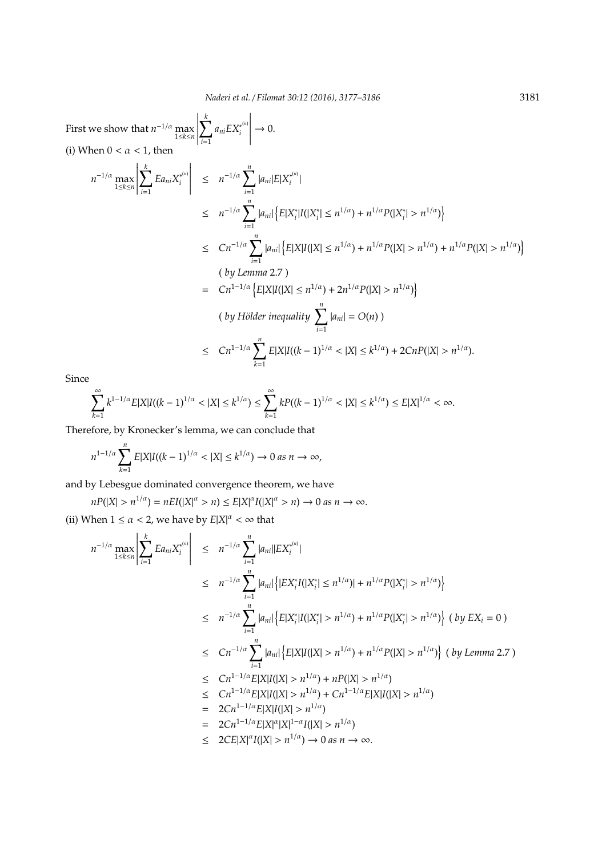First we show that  $n^{-1/\alpha} \max_{1 \le k \le n}$  X *k i*=1  $a_{ni}EX_i^{*(n)}$ *i*  $\rightarrow$  0. (i) When  $0 < \alpha < 1$ , then

$$
n^{-1/\alpha} \max_{1 \le k \le n} \left| \sum_{i=1}^{k} E a_{ni} X_{i}^{*^{(n)}} \right| \le n^{-1/\alpha} \sum_{i=1}^{n} |a_{ni}| E|X_{i}^{*^{(n)}}|
$$
  
\n
$$
\le n^{-1/\alpha} \sum_{i=1}^{n} |a_{ni}| \left\{ E|X_{i}^{*}|I(|X_{i}^{*}| \le n^{1/\alpha}) + n^{1/\alpha} P(|X_{i}^{*}| > n^{1/\alpha}) \right\}
$$
  
\n
$$
\le Cn^{-1/\alpha} \sum_{i=1}^{n} |a_{ni}| \left\{ E|X|I(|X| \le n^{1/\alpha}) + n^{1/\alpha} P(|X| > n^{1/\alpha}) + n^{1/\alpha} P(|X| > n^{1/\alpha}) \right\}
$$
  
\n
$$
(by Lemma 2.7)
$$
  
\n
$$
= Cn^{1-1/\alpha} \left\{ E|X|I(|X| \le n^{1/\alpha}) + 2n^{1/\alpha} P(|X| > n^{1/\alpha}) \right\}
$$
  
\n
$$
(by Hölder inequality \sum_{i=1}^{n} |a_{ni}| = O(n))
$$
  
\n
$$
\le Cn^{1-1/\alpha} \sum_{k=1}^{n} E|X|I((k-1)^{1/\alpha} < |X| \le k^{1/\alpha}) + 2CnP(|X| > n^{1/\alpha}).
$$

Since

$$
\sum_{k=1}^{\infty} k^{1-1/\alpha} E|X| I((k-1)^{1/\alpha} < |X| \le k^{1/\alpha}) \le \sum_{k=1}^{\infty} k P((k-1)^{1/\alpha} < |X| \le k^{1/\alpha}) \le E|X|^{1/\alpha} < \infty.
$$

Therefore, by Kronecker's lemma, we can conclude that

$$
n^{1-1/\alpha} \sum_{k=1}^n E|X| I((k-1)^{1/\alpha} < |X| \le k^{1/\alpha}) \to 0 \text{ as } n \to \infty,
$$

and by Lebesgue dominated convergence theorem, we have

 $nP(|X| > n^{1/\alpha}) = nEI(|X|^{\alpha} > n) \le E|X|^{\alpha}I(|X|^{\alpha} > n) \to 0$  *as*  $n \to \infty$ .

(ii) When  $1 \le \alpha < 2$ , we have by  $E|X|^{\alpha} < \infty$  that

$$
n^{-1/\alpha} \max_{1 \le k \le n} \left| \sum_{i=1}^{k} E a_{ni} X_i^{*(n)} \right| \le n^{-1/\alpha} \sum_{i=1}^{n} |a_{ni}| |EX_i^{*(n)}|
$$
  
\n
$$
\le n^{-1/\alpha} \sum_{i=1}^{n} |a_{ni}| \left\{ |EX_i^* I(|X_i^*| \le n^{1/\alpha})| + n^{1/\alpha} P(|X_i^*| > n^{1/\alpha}) \right\}
$$
  
\n
$$
\le n^{-1/\alpha} \sum_{i=1}^{n} |a_{ni}| \left\{ E|X_i^* |I(|X_i^*| > n^{1/\alpha}) + n^{1/\alpha} P(|X_i^*| > n^{1/\alpha}) \right\} (by EX_i = 0)
$$
  
\n
$$
\le Cn^{-1/\alpha} \sum_{i=1}^{n} |a_{ni}| \left\{ E|X| I(|X| > n^{1/\alpha}) + n^{1/\alpha} P(|X| > n^{1/\alpha}) \right\} (by Lemma 2.7)
$$
  
\n
$$
\le Cn^{1-1/\alpha} E|X| I(|X| > n^{1/\alpha}) + nP(|X| > n^{1/\alpha})
$$
  
\n
$$
\le Cn^{1-1/\alpha} E|X| I(|X| > n^{1/\alpha}) + Cn^{1-1/\alpha} E|X| I(|X| > n^{1/\alpha})
$$
  
\n
$$
= 2Cn^{1-1/\alpha} E|X| I(|X| > n^{1/\alpha})
$$
  
\n
$$
\le 2C E|X|^{\alpha} I(|X| > n^{1/\alpha}) \rightarrow 0 \text{ as } n \rightarrow \infty.
$$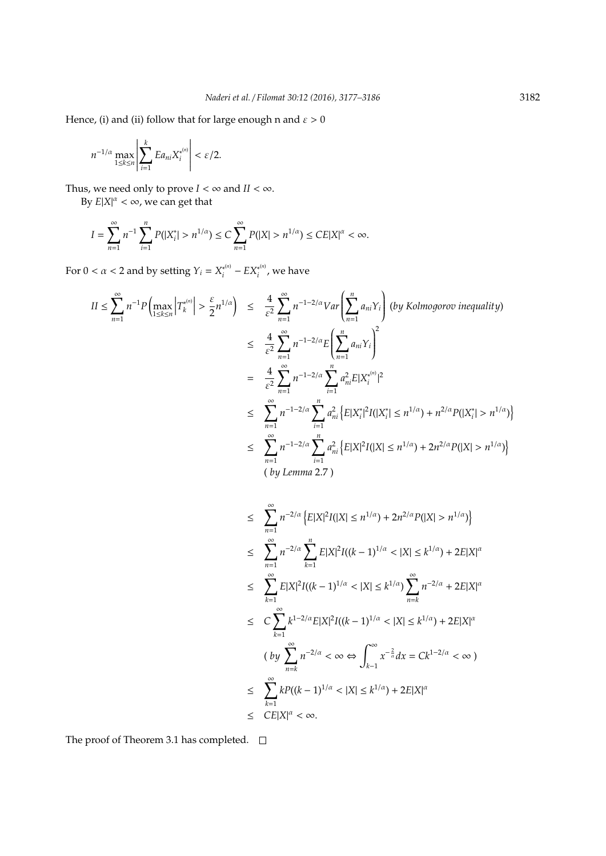Hence, (i) and (ii) follow that for large enough n and  $\varepsilon > 0$ 

$$
n^{-1/\alpha} \max_{1 \leq k \leq n} \left| \sum_{i=1}^k E a_{ni} X_i^{*(n)} \right| < \varepsilon/2.
$$

Thus, we need only to prove  $I < \infty$  and  $II < \infty$ .

By  $E|X|^{\alpha} < \infty$ , we can get that

 $II \leq$ 

$$
I = \sum_{n=1}^{\infty} n^{-1} \sum_{i=1}^{n} P(|X_i^*| > n^{1/\alpha}) \le C \sum_{n=1}^{\infty} P(|X| > n^{1/\alpha}) \le C E |X|^{\alpha} < \infty.
$$

For  $0 < \alpha < 2$  and by setting  $Y_i = X_i^{(n)}$  $\frac{X^{*(n)}}{i} - EX_i^{*(n)}$  $\hat{i}^{(n)}$ , we have

$$
\sum_{n=1}^{\infty} n^{-1} P\left(\max_{1\leq k\leq n} \left|T_{k}^{*(n)}\right| > \frac{\varepsilon}{2} n^{1/\alpha}\right) \leq \frac{4}{\varepsilon^{2}} \sum_{n=1}^{\infty} n^{-1-2/\alpha} Var\left(\sum_{n=1}^{n} a_{ni} Y_{i}\right) (by Kolmogorov inequality)
$$
\n
$$
\leq \frac{4}{\varepsilon^{2}} \sum_{n=1}^{\infty} n^{-1-2/\alpha} E\left(\sum_{n=1}^{n} a_{ni} Y_{i}\right)^{2}
$$
\n
$$
= \frac{4}{\varepsilon^{2}} \sum_{n=1}^{\infty} n^{-1-2/\alpha} \sum_{i=1}^{n} a_{ni}^{2} E|X_{i}^{*(n)}|^{2}
$$
\n
$$
\leq \sum_{n=1}^{\infty} n^{-1-2/\alpha} \sum_{i=1}^{n} a_{ni}^{2} \left\{E|X_{i}^{*}|^{2} I(|X_{i}^{*}| \leq n^{1/\alpha}) + n^{2/\alpha} P(|X_{i}^{*}| > n^{1/\alpha})\right\}
$$
\n
$$
\leq \sum_{n=1}^{\infty} n^{-1-2/\alpha} \sum_{i=1}^{n} a_{ni}^{2} \left\{E|X|^{2} I(|X| \leq n^{1/\alpha}) + 2n^{2/\alpha} P(|X| > n^{1/\alpha})\right\}
$$
\n
$$
(by Lemma 2.7)
$$

$$
\leq \sum_{n=1}^{\infty} n^{-2/\alpha} \left\{ E|X|^2 I(|X| \leq n^{1/\alpha}) + 2n^{2/\alpha} P(|X| > n^{1/\alpha}) \right\}
$$
  
\n
$$
\leq \sum_{n=1}^{\infty} n^{-2/\alpha} \sum_{k=1}^n E|X|^2 I((k-1)^{1/\alpha} < |X| \leq k^{1/\alpha}) + 2E|X|^{\alpha}
$$
  
\n
$$
\leq \sum_{k=1}^{\infty} E|X|^2 I((k-1)^{1/\alpha} < |X| \leq k^{1/\alpha}) \sum_{n=k}^{\infty} n^{-2/\alpha} + 2E|X|^{\alpha}
$$
  
\n
$$
\leq C \sum_{k=1}^{\infty} k^{1-2/\alpha} E|X|^2 I((k-1)^{1/\alpha} < |X| \leq k^{1/\alpha}) + 2E|X|^{\alpha}
$$
  
\n
$$
(by \sum_{n=k}^{\infty} n^{-2/\alpha} < \infty \Leftrightarrow \int_{k-1}^{\infty} x^{-\frac{2}{\alpha}} dx = Ck^{1-2/\alpha} < \infty)
$$
  
\n
$$
\leq \sum_{k=1}^{\infty} k P((k-1)^{1/\alpha} < |X| \leq k^{1/\alpha}) + 2E|X|^{\alpha}
$$
  
\n
$$
\leq CE|X|^{\alpha} < \infty.
$$

The proof of Theorem 3.1 has completed.  $\square$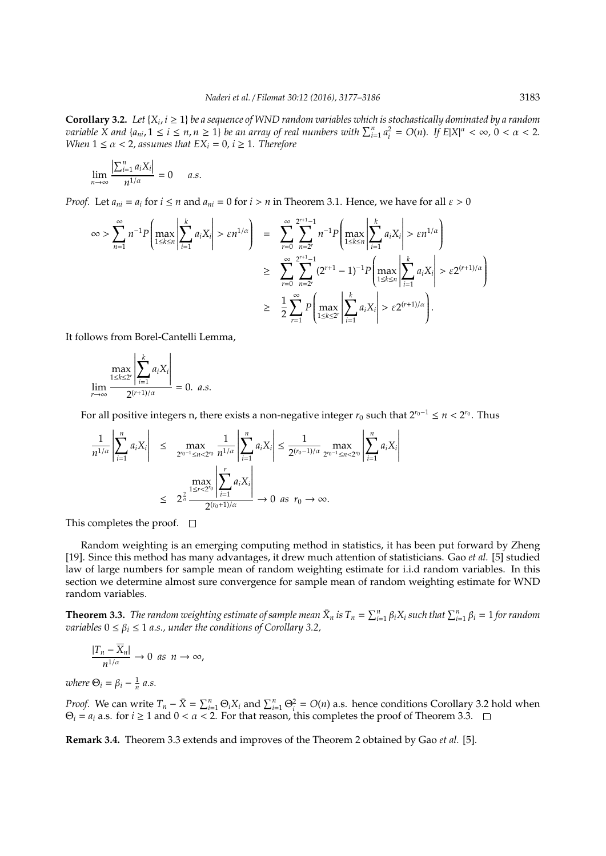**Corollary 3.2.** Let  $\{X_i, i \geq 1\}$  be a sequence of WND random variables which is stochastically dominated by a random variable X and  $\{a_{ni}, 1 \le i \le n, n \ge 1\}$  be an array of real numbers with  $\sum_{i=1}^n a_i^2 = O(n)$ . If  $E|X|^\alpha < \infty$ ,  $0 < \alpha < 2$ . *When*  $1 \le \alpha < 2$ , assumes that  $EX_i = 0$ ,  $i \ge 1$ . Therefore

$$
\lim_{n\to\infty}\frac{\left|\sum_{i=1}^n a_i X_i\right|}{n^{1/\alpha}}=0 \quad a.s.
$$

*Proof.* Let  $a_{ni} = a_i$  for  $i \le n$  and  $a_{ni} = 0$  for  $i > n$  in Theorem 3.1. Hence, we have for all  $\varepsilon > 0$ 

$$
\infty > \sum_{n=1}^{\infty} n^{-1} P\left(\max_{1 \le k \le n} \left| \sum_{i=1}^{k} a_i X_i \right| > \varepsilon n^{1/\alpha}\right) = \sum_{r=0}^{\infty} \sum_{n=2^r}^{2^{r+1}-1} n^{-1} P\left(\max_{1 \le k \le n} \left| \sum_{i=1}^{k} a_i X_i \right| > \varepsilon n^{1/\alpha}\right)
$$
  

$$
\ge \sum_{r=0}^{\infty} \sum_{n=2^r}^{2^{r+1}-1} (2^{r+1}-1)^{-1} P\left(\max_{1 \le k \le n} \left| \sum_{i=1}^{k} a_i X_i \right| > \varepsilon 2^{(r+1)/\alpha}\right)
$$
  

$$
\ge \frac{1}{2} \sum_{r=1}^{\infty} P\left(\max_{1 \le k \le 2^r} \left| \sum_{i=1}^{k} a_i X_i \right| > \varepsilon 2^{(r+1)/\alpha}\right).
$$

It follows from Borel-Cantelli Lemma,

$$
\lim_{r \to \infty} \frac{\max\limits_{1 \leq k \leq 2^r} \left| \sum_{i=1}^k a_i X_i \right|}{2^{(r+1)/\alpha}} = 0. \ a.s.
$$

For all positive integers n, there exists a non-negative integer *r*<sup>0</sup> such that 2*r*0−<sup>1</sup> ≤ *n* < 2 *r*0 . Thus

$$
\frac{1}{n^{1/\alpha}} \left| \sum_{i=1}^{n} a_i X_i \right| \le \max_{2^{r_0-1} \le n < 2^{r_0}} \frac{1}{n^{1/\alpha}} \left| \sum_{i=1}^{n} a_i X_i \right| \le \frac{1}{2^{(r_0-1)/\alpha}} \max_{2^{r_0-1} \le n < 2^{r_0}} \left| \sum_{i=1}^{n} a_i X_i \right|
$$
\n
$$
\le 2^{\frac{2}{\alpha}} \frac{\left| \sum_{i \le r < 2^{r_0} \right|}{2^{(r_0+1)/\alpha}} \right| \to 0 \text{ as } r_0 \to \infty.
$$

This completes the proof.  $\square$ 

Random weighting is an emerging computing method in statistics, it has been put forward by Zheng [19]. Since this method has many advantages, it drew much attention of statisticians. Gao *et al.* [5] studied law of large numbers for sample mean of random weighting estimate for i.i.d random variables. In this section we determine almost sure convergence for sample mean of random weighting estimate for WND random variables.

**Theorem 3.3.** The random weighting estimate of sample mean  $\bar{X}_n$  is  $T_n = \sum_{i=1}^n \beta_i X_i$  such that  $\sum_{i=1}^n \beta_i = 1$  for random *variables*  $0 \le \beta_i \le 1$  *a.s., under the conditions of Corollary 3.2,* 

$$
\frac{|T_n-\overline{X}_n|}{n^{1/\alpha}}\to 0\ \ as\ \ n\to\infty,
$$

*where*  $\Theta_i = \beta_i - \frac{1}{n} a.s.$ 

*Proof.* We can write  $T_n - \bar{X} = \sum_{i=1}^n \Theta_i X_i$  and  $\sum_{i=1}^n \Theta_i^2 = O(n)$  a.s. hence conditions Corollary 3.2 hold when  $\Theta_i = a_i$  a.s. for *i*  $\geq$  1 and 0 < *a* < 2. For that reason, this completes the proof of Theorem 3.3.  $\Box$ 

**Remark 3.4.** Theorem 3.3 extends and improves of the Theorem 2 obtained by Gao *et al.* [5].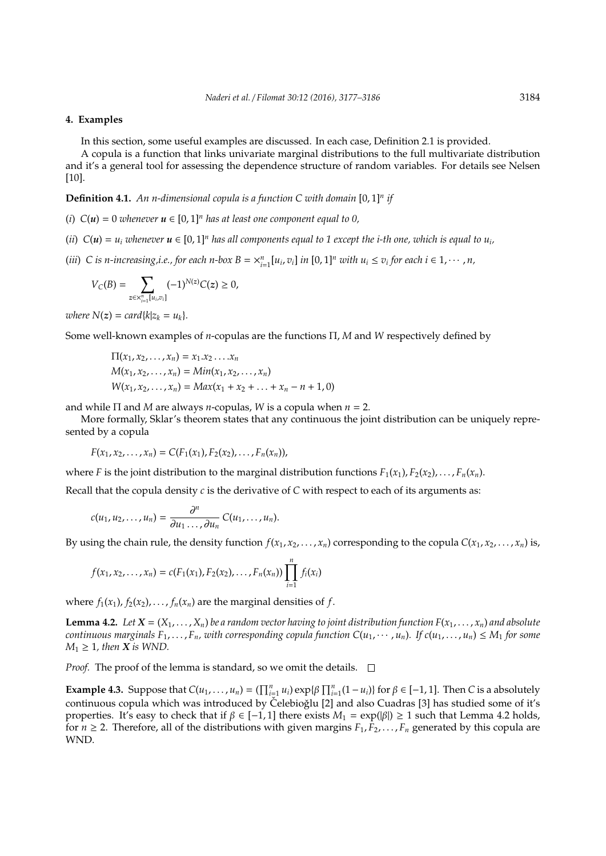## **4. Examples**

In this section, some useful examples are discussed. In each case, Definition 2.1 is provided.

A copula is a function that links univariate marginal distributions to the full multivariate distribution and it's a general tool for assessing the dependence structure of random variables. For details see Nelsen [10].

**Definition 4.1.** *An n-dimensional copula is a function C with domain* [0, 1]*<sup>n</sup> if*

- (*i*)  $C(u) = 0$  *whenever*  $u \in [0, 1]^n$  *has at least one component equal to 0,*
- (*ii*)  $C(u) = u_i$  *whenever*  $u \in [0,1]^n$  *has all components equal to* 1 *except the i-th one, which is equal to*  $u_i$ ,
- (iii) C is n-increasing, i.e., for each n-box  $B = x_{i=1}^n [u_i, v_i]$  in  $[0, 1]^n$  with  $u_i \le v_i$  for each  $i \in 1, \dots, n$ ,

$$
V_C(B) = \sum_{z \in X_{i=1}^n [u_i,v_i]} (-1)^{N(z)} C(z) \ge 0,
$$

*where*  $N(z) = card{k|z_k = u_k}.$ 

Some well-known examples of *n*-copulas are the functions Π, *M* and *W* respectively defined by

$$
\Pi(x_1, x_2, ..., x_n) = x_1.x_2...x_n
$$
  
\n
$$
M(x_1, x_2, ..., x_n) = Min(x_1, x_2, ..., x_n)
$$
  
\n
$$
W(x_1, x_2, ..., x_n) = Max(x_1 + x_2 + ... + x_n - n + 1, 0)
$$

and while Π and *M* are always *n*-copulas, *W* is a copula when *n* = 2.

More formally, Sklar's theorem states that any continuous the joint distribution can be uniquely represented by a copula

$$
F(x_1, x_2, \ldots, x_n) = C(F_1(x_1), F_2(x_2), \ldots, F_n(x_n)),
$$

where *F* is the joint distribution to the marginal distribution functions  $F_1(x_1), F_2(x_2), \ldots, F_n(x_n)$ .

Recall that the copula density *c* is the derivative of *C* with respect to each of its arguments as:

$$
c(u_1, u_2, \ldots, u_n) = \frac{\partial^n}{\partial u_1 \ldots, \partial u_n} C(u_1, \ldots, u_n).
$$

By using the chain rule, the density function  $f(x_1, x_2, \ldots, x_n)$  corresponding to the copula  $C(x_1, x_2, \ldots, x_n)$  is,

$$
f(x_1, x_2,..., x_n) = c(F_1(x_1), F_2(x_2),..., F_n(x_n)) \prod_{i=1}^n f_i(x_i)
$$

where  $f_1(x_1)$ ,  $f_2(x_2)$ , ...,  $f_n(x_n)$  are the marginal densities of  $f$ .

**Lemma 4.2.** Let  $X = (X_1, \ldots, X_n)$  be a random vector having to joint distribution function  $F(x_1, \ldots, x_n)$  and absolute *continuous marginals*  $F_1, \ldots, F_n$ *, with corresponding copula function*  $C(u_1, \cdots, u_n)$ *. If*  $c(u_1, \ldots, u_n) \leq M_1$  *for some*  $M_1 \geq 1$ , then *X* is WND.

*Proof.* The proof of the lemma is standard, so we omit the details.  $\Box$ 

**Example 4.3.** Suppose that  $C(u_1, \ldots, u_n) = (\prod_{i=1}^n u_i) \exp{\{\beta \prod_{i=1}^n (1 - u_i)\}}$  for  $\beta \in [-1, 1]$ . Then *C* is a absolutely continuous copula which was introduced by Čelebioğlu [2] and also Cuadras [3] has studied some of it's properties. It's easy to check that if  $β ∈ [-1, 1]$  there exists  $M_1 = \exp(|β|) ≥ 1$  such that Lemma 4.2 holds, for  $n \ge 2$ . Therefore, all of the distributions with given margins  $F_1, F_2, \ldots, F_n$  generated by this copula are WND.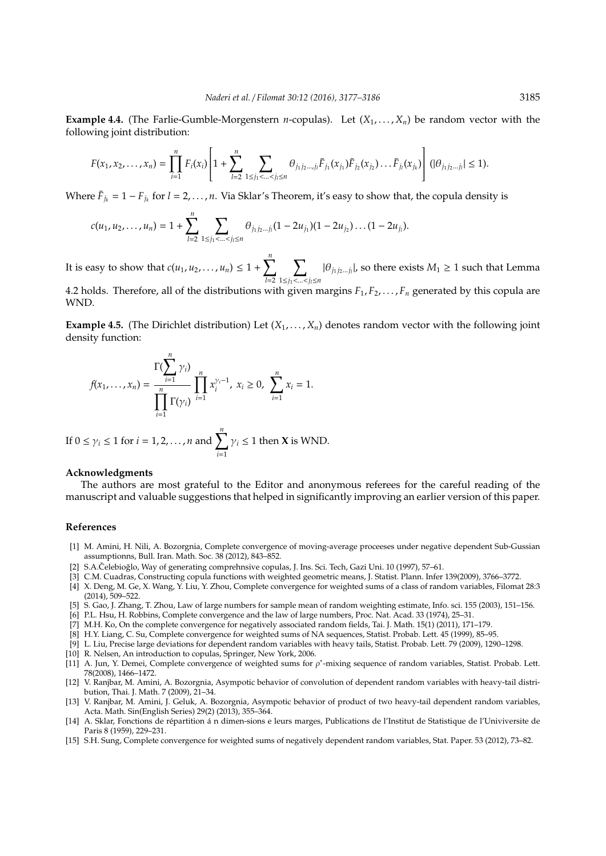**Example 4.4.** (The Farlie-Gumble-Morgenstern *n*-copulas). Let  $(X_1, \ldots, X_n)$  be random vector with the following joint distribution:

$$
F(x_1, x_2,..., x_n) = \prod_{i=1}^n F_i(x_i) \left[ 1 + \sum_{l=2}^n \sum_{1 \leq j_1 < ... < j_l \leq n} \theta_{j_1 j_2 ... j_l} \bar{F}_{j_1}(x_{j_1}) \bar{F}_{j_2}(x_{j_2}) ... \bar{F}_{j_l}(x_{j_k}) \right] (|\theta_{j_1 j_2 ... j_l}| \leq 1).
$$

Where  $\bar{F}_{j_k} = 1 - F_{j_k}$  for  $l = 2, ..., n$ . Via Sklar's Theorem, it's easy to show that, the copula density is

$$
c(u_1, u_2, \ldots, u_n) = 1 + \sum_{l=2}^n \sum_{1 \leq j_1 < \ldots < j_l \leq n} \theta_{j_1 j_2 \ldots j_l} (1 - 2u_{j_1}) (1 - 2u_{j_2}) \ldots (1 - 2u_{j_l}).
$$

It is easy to show that  $c(u_1, u_2, ..., u_n) \leq 1 + \sum_{n=1}^{n}$ *l*=2  $\bm{\nabla}$ 1≤*j*1<...<*jl*≤*n*  $|\theta_{j_1 j_2 \dots j_l}|$ , so there exists  $M_1 \ge 1$  such that Lemma 4.2 holds. Therefore, all of the distributions with given margins  $F_1, F_2, \ldots, F_n$  generated by this copula are

**Example 4.5.** (The Dirichlet distribution) Let  $(X_1, \ldots, X_n)$  denotes random vector with the following joint density function:

$$
f(x_1,...,x_n) = \frac{\Gamma(\sum_{i=1}^n \gamma_i)}{\prod_{i=1}^n \Gamma(\gamma_i)} \prod_{i=1}^n x_i^{\gamma_i-1}, \ x_i \ge 0, \ \sum_{i=1}^n x_i = 1.
$$

If 
$$
0 \le \gamma_i \le 1
$$
 for  $i = 1, 2, ..., n$  and  $\sum_{i=1}^{n} \gamma_i \le 1$  then **X** is WND.

#### **Acknowledgments**

The authors are most grateful to the Editor and anonymous referees for the careful reading of the manuscript and valuable suggestions that helped in significantly improving an earlier version of this paper.

#### **References**

WND.

- [1] M. Amini, H. Nili, A. Bozorgnia, Complete convergence of moving-average proceeses under negative dependent Sub-Gussian assumptionns, Bull. Iran. Math. Soc. 38 (2012), 843–852.
- [2] S.A.Čelebioğlo, Way of generating comprehnsive copulas, J. Ins. Sci. Tech, Gazi Uni. 10 (1997), 57–61.
- [3] C.M. Cuadras, Constructing copula functions with weighted geometric means, J. Statist. Plann. Infer 139(2009), 3766–3772.
- [4] X. Deng, M. Ge, X. Wang, Y. Liu, Y. Zhou, Complete convergence for weighted sums of a class of random variables, Filomat 28:3 (2014), 509–522.
- [5] S. Gao, J. Zhang, T. Zhou, Law of large numbers for sample mean of random weighting estimate, Info. sci. 155 (2003), 151–156.
- [6] P.L. Hsu, H. Robbins, Complete convergence and the law of large numbers, Proc. Nat. Acad. 33 (1974), 25–31.
- [7] M.H. Ko, On the complete convergence for negatively associated random fields, Tai. J. Math. 15(1) (2011), 171–179.
- [8] H.Y. Liang, C. Su, Complete convergence for weighted sums of NA sequences, Statist. Probab. Lett. 45 (1999), 85–95.
- [9] L. Liu, Precise large deviations for dependent random variables with heavy tails, Statist. Probab. Lett. 79 (2009), 1290–1298.
- [10] R. Nelsen, An introduction to copulas, Springer, New York, 2006.
- [11] A. Jun, Y. Demei, Complete convergence of weighted sums for  $\rho^*$ -mixing sequence of random variables, Statist. Probab. Lett. 78(2008), 1466–1472.
- [12] V. Ranjbar, M. Amini, A. Bozorgnia, Asympotic behavior of convolution of dependent random variables with heavy-tail distribution, Thai. J. Math. 7 (2009), 21–34.
- [13] V. Ranjbar, M. Amini, J. Geluk, A. Bozorgnia, Asympotic behavior of product of two heavy-tail dependent random variables, Acta. Math. Sin(English Series) 29(2) (2013), 355–364.
- [14] A. Sklar, Fonctions de répartition á n dimen-sions e leurs marges, Publications de l'Institut de Statistique de l'Univiversite de Paris 8 (1959), 229–231.
- [15] S.H. Sung, Complete convergence for weighted sums of negatively dependent random variables, Stat. Paper. 53 (2012), 73–82.